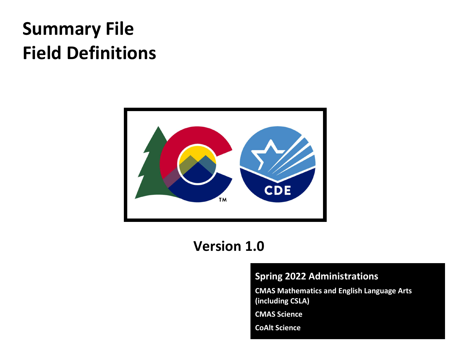# Summary File Field Definitions



# Version 1.0

### Spring 2022 Administrations

CMAS Mathematics and English Language Arts (including CSLA)

CMAS Science

CoAlt Science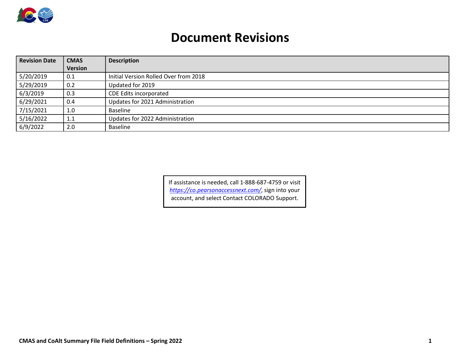

## Document Revisions

| <b>Revision Date</b> | <b>CMAS</b>    | <b>Description</b>                    |  |  |  |
|----------------------|----------------|---------------------------------------|--|--|--|
|                      | <b>Version</b> |                                       |  |  |  |
| 5/20/2019            | 0.1            | Initial Version Rolled Over from 2018 |  |  |  |
| 5/29/2019            | 0.2            | Updated for 2019                      |  |  |  |
| 6/3/2019             | 0.3            | CDE Edits incorporated                |  |  |  |
| 6/29/2021            | 0.4            | Updates for 2021 Administration       |  |  |  |
| 7/15/2021            | 1.0            | <b>Baseline</b>                       |  |  |  |
| 5/16/2022            | 1.1            | Updates for 2022 Administration       |  |  |  |
| 6/9/2022             | 2.0            | <b>Baseline</b>                       |  |  |  |

If assistance is needed, call 1-888-687-4759 or visit https://co.pearsonaccessnext.com/, sign into your account, and select Contact COLORADO Support.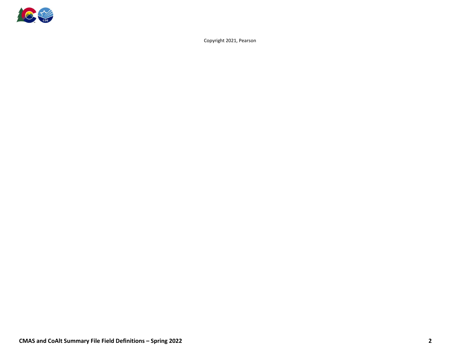

Copyright 2021, Pearson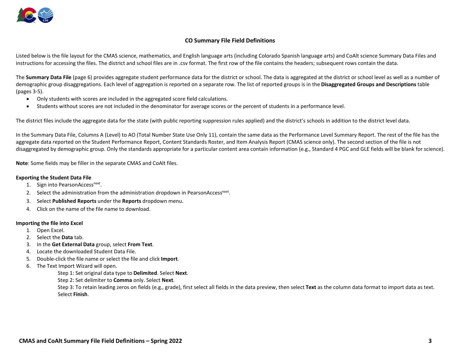

#### CO Summary File Field Definitions

Listed below is the file layout for the CMAS science, mathematics, and English language arts (including Colorado Spanish language arts) and CoAlt science Summary Data Files and instructions for accessing the files. The district and school files are in .csv format. The first row of the file contains the headers; subsequent rows contain the data.

The Summary Data File (page 6) provides aggregate student performance data for the district or school. The data is aggregated at the district or school level as well as a number of demographic group disaggregations. Each level of aggregation is reported on a separate row. The list of reported groups is in the **Disaggregated Groups and Descriptions** table (pages 3-5).

- Only students with scores are included in the aggregated score field calculations.
- Students without scores are not included in the denominator for average scores or the percent of students in a performance level.

The district files include the aggregate data for the state (with public reporting suppression rules applied) and the district's schools in addition to the district level data.

In the Summary Data File, Columns A (Level) to AO (Total Number State Use Only 11), contain the same data as the Performance Level Summary Report. The rest of the file has the aggregate data reported on the Student Performance Report, Content Standards Roster, and Item Analysis Report (CMAS science only). The second section of the file is not disaggregated by demographic group. Only the standards appropriate for a particular content area contain information (e.g., Standard 4 PGC and GLE fields will be blank for science).

Note: Some fields may be filler in the separate CMAS and CoAlt files.

#### Exporting the Student Data File

- 1. Sign into PearsonAccess<sup>next</sup>.
- 2. Select the administration from the administration dropdown in PearsonAccess<sup>next</sup>.
- 3. Select Published Reports under the Reports dropdown menu.
- 4. Click on the name of the file name to download.

#### Importing the file into Excel

- 1. Open Excel.
- 2. Select the Data tab.
- 3. In the Get External Data group, select From Text.
- 4. Locate the downloaded Student Data File.
- 5. Double-click the file name or select the file and click Import.
- 6. The Text Import Wizard will open.

Step 1: Set original data type to Delimited. Select Next.

Step 2: Set delimiter to Comma only. Select Next.

Step 3: To retain leading zeros on fields (e.g., grade), first select all fields in the data preview, then select Text as the column data format to import data as text. Select Finish.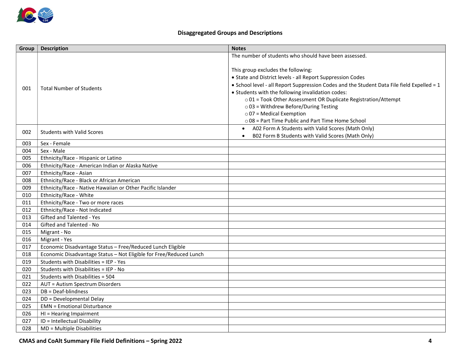

#### Disaggregated Groups and Descriptions

| Group | <b>Description</b>                                                 | <b>Notes</b>                                                                               |
|-------|--------------------------------------------------------------------|--------------------------------------------------------------------------------------------|
|       |                                                                    | The number of students who should have been assessed.                                      |
|       |                                                                    |                                                                                            |
|       |                                                                    | This group excludes the following:                                                         |
|       |                                                                    | • State and District levels - all Report Suppression Codes                                 |
| 001   | <b>Total Number of Students</b>                                    | . School level - all Report Suppression Codes and the Student Data File field Expelled = 1 |
|       |                                                                    | • Students with the following invalidation codes:                                          |
|       |                                                                    | o 01 = Took Other Assessment OR Duplicate Registration/Attempt                             |
|       |                                                                    | $\circ$ 03 = Withdrew Before/During Testing                                                |
|       |                                                                    | $\circ$ 07 = Medical Exemption                                                             |
|       |                                                                    | o 08 = Part Time Public and Part Time Home School                                          |
| 002   | <b>Students with Valid Scores</b>                                  | A02 Form A Students with Valid Scores (Math Only)<br>$\bullet$                             |
|       |                                                                    | B02 Form B Students with Valid Scores (Math Only)                                          |
| 003   | Sex - Female                                                       |                                                                                            |
| 004   | Sex - Male                                                         |                                                                                            |
| 005   | Ethnicity/Race - Hispanic or Latino                                |                                                                                            |
| 006   | Ethnicity/Race - American Indian or Alaska Native                  |                                                                                            |
| 007   | Ethnicity/Race - Asian                                             |                                                                                            |
| 008   | Ethnicity/Race - Black or African American                         |                                                                                            |
| 009   | Ethnicity/Race - Native Hawaiian or Other Pacific Islander         |                                                                                            |
| 010   | Ethnicity/Race - White                                             |                                                                                            |
| 011   | Ethnicity/Race - Two or more races                                 |                                                                                            |
| 012   | Ethnicity/Race - Not Indicated                                     |                                                                                            |
| 013   | Gifted and Talented - Yes                                          |                                                                                            |
| 014   | Gifted and Talented - No                                           |                                                                                            |
| 015   | Migrant - No                                                       |                                                                                            |
| 016   | Migrant - Yes                                                      |                                                                                            |
| 017   | Economic Disadvantage Status - Free/Reduced Lunch Eligible         |                                                                                            |
| 018   | Economic Disadvantage Status - Not Eligible for Free/Reduced Lunch |                                                                                            |
| 019   | Students with Disabilities = IEP - Yes                             |                                                                                            |
| 020   | Students with Disabilities = IEP - No                              |                                                                                            |
| 021   | Students with Disabilities = 504                                   |                                                                                            |
| 022   | AUT = Autism Spectrum Disorders                                    |                                                                                            |
| 023   | DB = Deaf-blindness                                                |                                                                                            |
| 024   | DD = Developmental Delay                                           |                                                                                            |
| 025   | <b>EMN = Emotional Disturbance</b>                                 |                                                                                            |
| 026   | HI = Hearing Impairment                                            |                                                                                            |
| 027   | ID = Intellectual Disability                                       |                                                                                            |
| 028   | MD = Multiple Disabilities                                         |                                                                                            |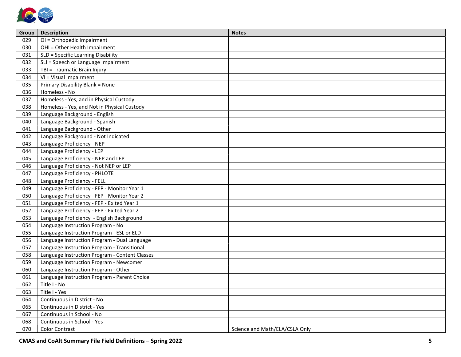

| Group | <b>Description</b>                             | <b>Notes</b>                   |
|-------|------------------------------------------------|--------------------------------|
| 029   | OI = Orthopedic Impairment                     |                                |
| 030   | OHI = Other Health Impairment                  |                                |
| 031   | SLD = Specific Learning Disability             |                                |
| 032   | SLI = Speech or Language Impairment            |                                |
| 033   | TBI = Traumatic Brain Injury                   |                                |
| 034   | VI = Visual Impairment                         |                                |
| 035   | Primary Disability Blank = None                |                                |
| 036   | Homeless - No                                  |                                |
| 037   | Homeless - Yes, and in Physical Custody        |                                |
| 038   | Homeless - Yes, and Not in Physical Custody    |                                |
| 039   | Language Background - English                  |                                |
| 040   | Language Background - Spanish                  |                                |
| 041   | Language Background - Other                    |                                |
| 042   | Language Background - Not Indicated            |                                |
| 043   | Language Proficiency - NEP                     |                                |
| 044   | Language Proficiency - LEP                     |                                |
| 045   | Language Proficiency - NEP and LEP             |                                |
| 046   | Language Proficiency - Not NEP or LEP          |                                |
| 047   | Language Proficiency - PHLOTE                  |                                |
| 048   | Language Proficiency - FELL                    |                                |
| 049   | Language Proficiency - FEP - Monitor Year 1    |                                |
| 050   | Language Proficiency - FEP - Monitor Year 2    |                                |
| 051   | Language Proficiency - FEP - Exited Year 1     |                                |
| 052   | Language Proficiency - FEP - Exited Year 2     |                                |
| 053   | Language Proficiency - English Background      |                                |
| 054   | Language Instruction Program - No              |                                |
| 055   | Language Instruction Program - ESL or ELD      |                                |
| 056   | Language Instruction Program - Dual Language   |                                |
| 057   | Language Instruction Program - Transitional    |                                |
| 058   | Language Instruction Program - Content Classes |                                |
| 059   | Language Instruction Program - Newcomer        |                                |
| 060   | Language Instruction Program - Other           |                                |
| 061   | Language Instruction Program - Parent Choice   |                                |
| 062   | Title I - No                                   |                                |
| 063   | Title I - Yes                                  |                                |
| 064   | Continuous in District - No                    |                                |
| 065   | Continuous in District - Yes                   |                                |
| 067   | Continuous in School - No                      |                                |
| 068   | Continuous in School - Yes                     |                                |
| 070   | <b>Color Contrast</b>                          | Science and Math/ELA/CSLA Only |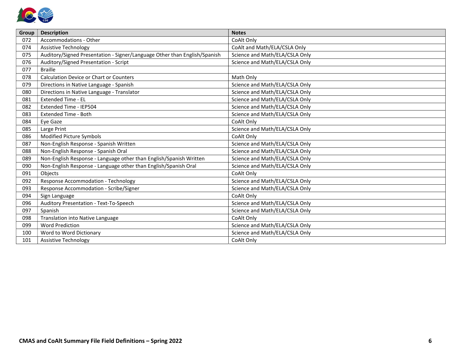

| Group | <b>Description</b>                                                        | <b>Notes</b>                   |
|-------|---------------------------------------------------------------------------|--------------------------------|
| 072   | Accommodations - Other                                                    | CoAlt Only                     |
| 074   | <b>Assistive Technology</b>                                               | CoAlt and Math/ELA/CSLA Only   |
| 075   | Auditory/Signed Presentation - Signer/Language Other than English/Spanish | Science and Math/ELA/CSLA Only |
| 076   | Auditory/Signed Presentation - Script                                     | Science and Math/ELA/CSLA Only |
| 077   | <b>Braille</b>                                                            |                                |
| 078   | <b>Calculation Device or Chart or Counters</b>                            | Math Only                      |
| 079   | Directions in Native Language - Spanish                                   | Science and Math/ELA/CSLA Only |
| 080   | Directions in Native Language - Translator                                | Science and Math/ELA/CSLA Only |
| 081   | <b>Extended Time - EL</b>                                                 | Science and Math/ELA/CSLA Only |
| 082   | Extended Time - IEP504                                                    | Science and Math/ELA/CSLA Only |
| 083   | <b>Extended Time - Both</b>                                               | Science and Math/ELA/CSLA Only |
| 084   | Eye Gaze                                                                  | CoAlt Only                     |
| 085   | Large Print                                                               | Science and Math/ELA/CSLA Only |
| 086   | Modified Picture Symbols                                                  | CoAlt Only                     |
| 087   | Non-English Response - Spanish Written                                    | Science and Math/ELA/CSLA Only |
| 088   | Non-English Response - Spanish Oral                                       | Science and Math/ELA/CSLA Only |
| 089   | Non-English Response - Language other than English/Spanish Written        | Science and Math/ELA/CSLA Only |
| 090   | Non-English Response - Language other than English/Spanish Oral           | Science and Math/ELA/CSLA Only |
| 091   | Objects                                                                   | CoAlt Only                     |
| 092   | <b>Response Accommodation - Technology</b>                                | Science and Math/ELA/CSLA Only |
| 093   | Response Accommodation - Scribe/Signer                                    | Science and Math/ELA/CSLA Only |
| 094   | Sign Language                                                             | CoAlt Only                     |
| 096   | Auditory Presentation - Text-To-Speech                                    | Science and Math/ELA/CSLA Only |
| 097   | Spanish                                                                   | Science and Math/ELA/CSLA Only |
| 098   | Translation into Native Language                                          | CoAlt Only                     |
| 099   | <b>Word Prediction</b>                                                    | Science and Math/ELA/CSLA Only |
| 100   | Word to Word Dictionary                                                   | Science and Math/ELA/CSLA Only |
| 101   | <b>Assistive Technology</b>                                               | CoAlt Only                     |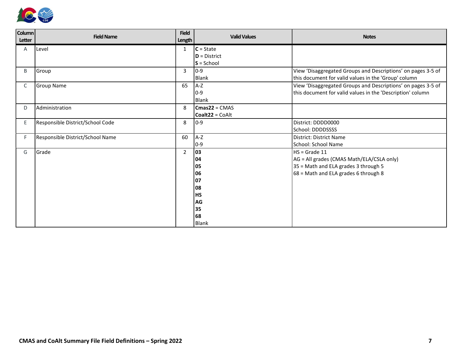

| Column<br>Letter | <b>Field Name</b>                | <b>Field</b><br>Length | <b>Valid Values</b>               | <b>Notes</b>                                                 |
|------------------|----------------------------------|------------------------|-----------------------------------|--------------------------------------------------------------|
| Α                | Level                            | 1                      | $ C =$ State                      |                                                              |
|                  |                                  |                        | $\mathsf{D}$ = District           |                                                              |
|                  |                                  |                        | $S =$ School                      |                                                              |
| B                | Group                            | 3                      | $ 0-9 $                           | View 'Disaggregated Groups and Descriptions' on pages 3-5 of |
|                  |                                  |                        | Blank                             | this document for valid values in the 'Group' column         |
| C                | <b>Group Name</b>                | 65                     | A-Z                               | View 'Disaggregated Groups and Descriptions' on pages 3-5 of |
|                  |                                  |                        | 10-9                              | this document for valid values in the 'Description' column   |
|                  |                                  |                        | Blank                             |                                                              |
| D                | Administration                   | 8                      | $\textsf{Cmas22} = \textsf{CMAS}$ |                                                              |
|                  |                                  |                        | Coalt22 = CoAlt                   |                                                              |
| Ε                | Responsible District/School Code | 8                      | $ 0-9 $                           | District: DDDD0000                                           |
|                  |                                  |                        |                                   | School: DDDDSSSS                                             |
| F                | Responsible District/School Name | 60                     | A-Z                               | District: District Name                                      |
|                  |                                  |                        | $ 0-9 $                           | School: School Name                                          |
| G                | Grade                            | $\overline{2}$         | 03                                | $HS = Grade 11$                                              |
|                  |                                  |                        | 04                                | AG = All grades (CMAS Math/ELA/CSLA only)                    |
|                  |                                  |                        | 05                                | 35 = Math and ELA grades 3 through 5                         |
|                  |                                  |                        | 06                                | 68 = Math and ELA grades 6 through 8                         |
|                  |                                  |                        | 07                                |                                                              |
|                  |                                  |                        | 08                                |                                                              |
|                  |                                  |                        | <b>HS</b>                         |                                                              |
|                  |                                  |                        | AG                                |                                                              |
|                  |                                  |                        | 35                                |                                                              |
|                  |                                  |                        | 68                                |                                                              |
|                  |                                  |                        | <b>Blank</b>                      |                                                              |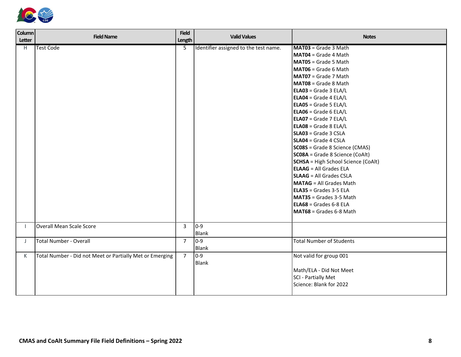

| <b>Column</b><br>Letter | <b>Field Name</b>                                        | <b>Field</b><br>Length | <b>Valid Values</b>                   | <b>Notes</b>                                                                                                                                                                                                                                                                                                                                                                                                                                                                                                                                                                                                                                                                                                                                                                              |
|-------------------------|----------------------------------------------------------|------------------------|---------------------------------------|-------------------------------------------------------------------------------------------------------------------------------------------------------------------------------------------------------------------------------------------------------------------------------------------------------------------------------------------------------------------------------------------------------------------------------------------------------------------------------------------------------------------------------------------------------------------------------------------------------------------------------------------------------------------------------------------------------------------------------------------------------------------------------------------|
| H                       | <b>Test Code</b>                                         | 5                      | Identifier assigned to the test name. | MAT03 = Grade 3 Math<br>MAT04 = Grade 4 Math<br>MAT05 = Grade 5 Math<br>MAT06 = Grade 6 Math<br>MAT07 = Grade 7 Math<br>MAT08 = Grade 8 Math<br>ELA03 = Grade 3 ELA/L<br>$\textsf{ELAO4} = \textsf{Grade} \cdot 4 \textsf{ELA/L}$<br>$\textsf{ELAO5} = \textsf{Grade}$ 5 ELA/L<br>ELA06 = Grade 6 ELA/L<br>$\textsf{ELAO7} = \textsf{Grade}$ 7 ELA/L<br>ELA08 = Grade 8 ELA/L<br>$SLAO3 = Grade 3 CSLA$<br>$SLAO4 = Grade 4 CSLA$<br>SCO8S = Grade 8 Science (CMAS)<br>SCO8A = Grade 8 Science (CoAlt)<br><b>SCHSA</b> = High School Science (CoAlt)<br><b>ELAAG</b> = All Grades ELA<br><b>SLAAG</b> = All Grades CSLA<br><b>MATAG</b> = All Grades Math<br>$\textsf{ELA35}$ = Grades 3-5 ELA<br>MAT35 = Grades 3-5 Math<br>$\textsf{ELA68}$ = Grades 6-8 ELA<br>MAT68 = Grades 6-8 Math |
|                         | Overall Mean Scale Score                                 | 3                      | $ 0-9 $<br>Blank                      |                                                                                                                                                                                                                                                                                                                                                                                                                                                                                                                                                                                                                                                                                                                                                                                           |
| J                       | <b>Total Number - Overall</b>                            | $\overline{7}$         | $ 0-9 $<br>Blank                      | <b>Total Number of Students</b>                                                                                                                                                                                                                                                                                                                                                                                                                                                                                                                                                                                                                                                                                                                                                           |
| K                       | Total Number - Did not Meet or Partially Met or Emerging | $\overline{7}$         | $0-9$<br><b>Blank</b>                 | Not valid for group 001<br>Math/ELA - Did Not Meet<br>SCI - Partially Met<br>Science: Blank for 2022                                                                                                                                                                                                                                                                                                                                                                                                                                                                                                                                                                                                                                                                                      |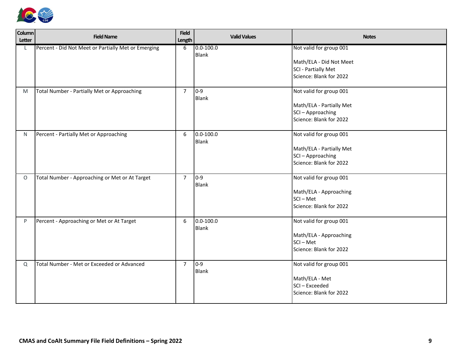

| Column<br>Letter | <b>Field Name</b>                                   | <b>Field</b><br>Length | <b>Valid Values</b>      | <b>Notes</b>                                                                                         |
|------------------|-----------------------------------------------------|------------------------|--------------------------|------------------------------------------------------------------------------------------------------|
| L.               | Percent - Did Not Meet or Partially Met or Emerging | 6                      | $0.0 - 100.0$<br>Blank   | Not valid for group 001<br>Math/ELA - Did Not Meet<br>SCI - Partially Met<br>Science: Blank for 2022 |
| M                | Total Number - Partially Met or Approaching         | $\overline{7}$         | $ 0-9 $<br>Blank         | Not valid for group 001<br>Math/ELA - Partially Met<br>SCI-Approaching<br>Science: Blank for 2022    |
| N.               | Percent - Partially Met or Approaching              | 6                      | $0.0 - 100.0$<br>Blank   | Not valid for group 001<br>Math/ELA - Partially Met<br>SCI-Approaching<br>Science: Blank for 2022    |
| $\circ$          | Total Number - Approaching or Met or At Target      | $\overline{7}$         | $ 0-9 $<br>Blank         | Not valid for group 001<br>Math/ELA - Approaching<br>$SCI - Met$<br>Science: Blank for 2022          |
| P                | Percent - Approaching or Met or At Target           | 6                      | $ 0.0 - 100.0 $<br>Blank | Not valid for group 001<br>Math/ELA - Approaching<br>SCI-Met<br>Science: Blank for 2022              |
| Q                | Total Number - Met or Exceeded or Advanced          | $\overline{7}$         | $0-9$<br>Blank           | Not valid for group 001<br>Math/ELA - Met<br>SCI-Exceeded<br>Science: Blank for 2022                 |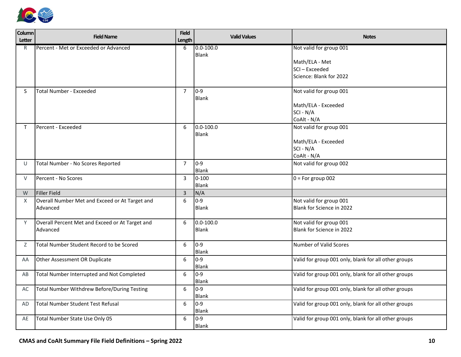

| Column<br><b>Letter</b> | <b>Field Name</b>                               | <b>Field</b><br>Length | <b>Valid Values</b>   | <b>Notes</b>                                         |
|-------------------------|-------------------------------------------------|------------------------|-----------------------|------------------------------------------------------|
| R.                      | Percent - Met or Exceeded or Advanced           | 6                      | $ 0.0 - 100.0 $       | Not valid for group 001                              |
|                         |                                                 |                        | <b>Blank</b>          |                                                      |
|                         |                                                 |                        |                       | Math/ELA - Met<br>SCI-Exceeded                       |
|                         |                                                 |                        |                       | Science: Blank for 2022                              |
|                         |                                                 |                        |                       |                                                      |
| S                       | <b>Total Number - Exceeded</b>                  | $\overline{7}$         | 0-9                   | Not valid for group 001                              |
|                         |                                                 |                        | <b>Blank</b>          |                                                      |
|                         |                                                 |                        |                       | Math/ELA - Exceeded                                  |
|                         |                                                 |                        |                       | SCI - N/A                                            |
|                         |                                                 |                        |                       | CoAlt - N/A                                          |
| T.                      | Percent - Exceeded                              | 6                      | $0.0 - 100.0$         | Not valid for group 001                              |
|                         |                                                 |                        | <b>Blank</b>          |                                                      |
|                         |                                                 |                        |                       | Math/ELA - Exceeded<br>SCI - N/A                     |
|                         |                                                 |                        |                       | CoAlt - N/A                                          |
| U                       | Total Number - No Scores Reported               | $\overline{7}$         | 0-9                   | Not valid for group 002                              |
|                         |                                                 |                        | <b>Blank</b>          |                                                      |
| $\vee$                  | Percent - No Scores                             | 3                      | $ 0 - 100$            | $0 = For group 002$                                  |
|                         |                                                 |                        | <b>Blank</b>          |                                                      |
| W                       | Filler Field                                    | $\overline{3}$         | N/A                   |                                                      |
| X                       | Overall Number Met and Exceed or At Target and  | 6                      | $0 - 9$               | Not valid for group 001                              |
|                         | Advanced                                        |                        | <b>Blank</b>          | Blank for Science in 2022                            |
|                         |                                                 |                        |                       |                                                      |
| Y                       | Overall Percent Met and Exceed or At Target and | 6                      | $0.0 - 100.0$         | Not valid for group 001                              |
|                         | Advanced                                        |                        | <b>Blank</b>          | Blank for Science in 2022                            |
|                         |                                                 |                        |                       |                                                      |
| Ζ                       | Total Number Student Record to be Scored        | 6                      | $0-9$                 | Number of Valid Scores                               |
|                         | Other Assessment OR Duplicate                   | 6                      | <b>Blank</b><br>$0-9$ | Valid for group 001 only, blank for all other groups |
| AA                      |                                                 |                        | <b>Blank</b>          |                                                      |
| AB                      | Total Number Interrupted and Not Completed      | $6\,$                  | $0 - 9$               | Valid for group 001 only, blank for all other groups |
|                         |                                                 |                        | <b>Blank</b>          |                                                      |
| AC                      | Total Number Withdrew Before/During Testing     | 6                      | $0 - 9$               | Valid for group 001 only, blank for all other groups |
|                         |                                                 |                        | <b>Blank</b>          |                                                      |
| <b>AD</b>               | Total Number Student Test Refusal               | 6                      | 0-9                   | Valid for group 001 only, blank for all other groups |
|                         |                                                 |                        | <b>Blank</b>          |                                                      |
| AE                      | Total Number State Use Only 05                  | 6                      | $0 - 9$               | Valid for group 001 only, blank for all other groups |
|                         |                                                 |                        | <b>Blank</b>          |                                                      |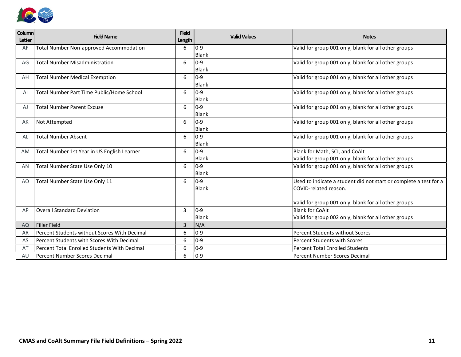

| Column<br><b>Letter</b> | <b>Field Name</b>                              | <b>Field</b> | <b>Valid Values</b>     | <b>Notes</b>                                                      |
|-------------------------|------------------------------------------------|--------------|-------------------------|-------------------------------------------------------------------|
|                         |                                                | Length       |                         |                                                                   |
| AF                      | <b>Total Number Non-approved Accommodation</b> | 6            | $ 0-9 $<br><b>Blank</b> | Valid for group 001 only, blank for all other groups              |
| AG                      | <b>Total Number Misadministration</b>          | 6            | 0-9                     | Valid for group 001 only, blank for all other groups              |
|                         |                                                |              | <b>Blank</b>            |                                                                   |
| AH                      | <b>Total Number Medical Exemption</b>          | 6            | 0-9                     | Valid for group 001 only, blank for all other groups              |
|                         |                                                |              | <b>Blank</b>            |                                                                   |
| AI                      | Total Number Part Time Public/Home School      | 6            | $0 - 9$                 | Valid for group 001 only, blank for all other groups              |
|                         |                                                |              | <b>Blank</b>            |                                                                   |
| AJ                      | <b>Total Number Parent Excuse</b>              | 6            | $ 0-9 $                 | Valid for group 001 only, blank for all other groups              |
|                         |                                                |              | <b>Blank</b>            |                                                                   |
| AK                      | Not Attempted                                  | 6            | $ 0-9 $                 | Valid for group 001 only, blank for all other groups              |
|                         |                                                |              | <b>Blank</b>            |                                                                   |
| AL                      | <b>Total Number Absent</b>                     | 6            | 10-9                    | Valid for group 001 only, blank for all other groups              |
|                         |                                                |              | <b>Blank</b>            |                                                                   |
| <b>AM</b>               | Total Number 1st Year in US English Learner    | 6            | $0-9$                   | Blank for Math, SCI, and CoAlt                                    |
|                         |                                                |              | <b>Blank</b>            | Valid for group 001 only, blank for all other groups              |
| AN                      | Total Number State Use Only 10                 | 6            | $0-9$                   | Valid for group 001 only, blank for all other groups              |
|                         |                                                |              | <b>Blank</b>            |                                                                   |
| A <sub>O</sub>          | Total Number State Use Only 11                 | 6            | 10-9                    | Used to indicate a student did not start or complete a test for a |
|                         |                                                |              | <b>Blank</b>            | COVID-related reason.                                             |
|                         |                                                |              |                         |                                                                   |
|                         |                                                |              |                         | Valid for group 001 only, blank for all other groups              |
| AP                      | <b>Overall Standard Deviation</b>              | 3            | $0-9$                   | <b>Blank for CoAlt</b>                                            |
|                         |                                                |              | <b>Blank</b>            | Valid for group 002 only, blank for all other groups              |
| AQ                      | Filler Field                                   | 3            | N/A                     |                                                                   |
| AR                      | Percent Students without Scores With Decimal   | 6            | $0-9$                   | Percent Students without Scores                                   |
| AS                      | Percent Students with Scores With Decimal      | 6            | $0 - 9$                 | <b>Percent Students with Scores</b>                               |
| AT                      | Percent Total Enrolled Students With Decimal   | 6            | 10-9                    | <b>Percent Total Enrolled Students</b>                            |
| AU                      | Percent Number Scores Decimal                  | 6            | $0-9$                   | <b>Percent Number Scores Decimal</b>                              |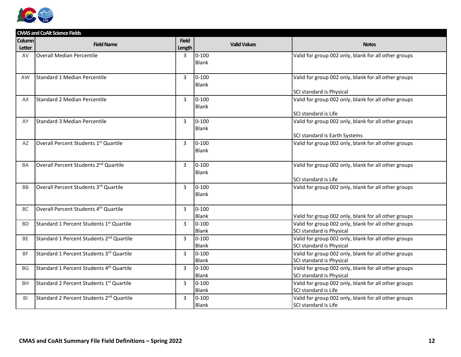

|               | <b>CMAS and CoAlt Science Fields</b>                 |                |                          |                                                      |
|---------------|------------------------------------------------------|----------------|--------------------------|------------------------------------------------------|
| <b>Column</b> | <b>Field Name</b>                                    | <b>Field</b>   | <b>Valid Values</b>      | <b>Notes</b>                                         |
| Letter        |                                                      | Length         |                          |                                                      |
| AV            | Overall Median Percentile                            | 3              | $ 0 - 100$               | Valid for group 002 only, blank for all other groups |
|               |                                                      |                | <b>Blank</b>             |                                                      |
|               |                                                      |                |                          |                                                      |
| AW            | Standard 1 Median Percentile                         | $\overline{3}$ | $ 0 - 100$               | Valid for group 002 only, blank for all other groups |
|               |                                                      |                | <b>Blank</b>             | SCI standard is Physical                             |
| AX            | Standard 2 Median Percentile                         | $\overline{3}$ | $ 0 - 100$               | Valid for group 002 only, blank for all other groups |
|               |                                                      |                | Blank                    |                                                      |
|               |                                                      |                |                          | SCI standard is Life                                 |
| AY            | Standard 3 Median Percentile                         | 3              | $ 0 - 100$               | Valid for group 002 only, blank for all other groups |
|               |                                                      |                | Blank                    |                                                      |
|               |                                                      |                |                          | SCI standard is Earth Systems                        |
| AZ            | Overall Percent Students 1st Quartile                | 3              | $ 0 - 100$               | Valid for group 002 only, blank for all other groups |
|               |                                                      |                | <b>Blank</b>             |                                                      |
|               |                                                      |                |                          |                                                      |
| <b>BA</b>     | Overall Percent Students 2 <sup>nd</sup> Quartile    | 3              | $ 0 - 100$               | Valid for group 002 only, blank for all other groups |
|               |                                                      |                | <b>Blank</b>             |                                                      |
|               |                                                      |                |                          | SCI standard is Life                                 |
| <b>BB</b>     | Overall Percent Students 3rd Quartile                | 3              | $ 0-100$<br><b>Blank</b> | Valid for group 002 only, blank for all other groups |
|               |                                                      |                |                          |                                                      |
| <b>BC</b>     | Overall Percent Students 4 <sup>th</sup> Quartile    | 3              | $ 0 - 100$               |                                                      |
|               |                                                      |                | <b>Blank</b>             | Valid for group 002 only, blank for all other groups |
| <b>BD</b>     | Standard 1 Percent Students 1 <sup>st</sup> Quartile | 3              | $ 0 - 100$               | Valid for group 002 only, blank for all other groups |
|               |                                                      |                | <b>Blank</b>             | SCI standard is Physical                             |
| <b>BE</b>     | Standard 1 Percent Students 2 <sup>nd</sup> Quartile | $\mathbf{3}$   | $ 0 - 100$               | Valid for group 002 only, blank for all other groups |
|               |                                                      |                | Blank                    | SCI standard is Physical                             |
| <b>BF</b>     | Standard 1 Percent Students 3rd Quartile             | $\overline{3}$ | $ 0 - 100$               | Valid for group 002 only, blank for all other groups |
|               |                                                      |                | <b>Blank</b>             | SCI standard is Physical                             |
| <b>BG</b>     | Standard 1 Percent Students 4 <sup>th</sup> Quartile | $\overline{3}$ | $ 0 - 100$               | Valid for group 002 only, blank for all other groups |
|               |                                                      |                | <b>Blank</b>             | SCI standard is Physical                             |
| <b>BH</b>     | Standard 2 Percent Students 1 <sup>st</sup> Quartile | $\overline{3}$ | $ 0 - 100$               | Valid for group 002 only, blank for all other groups |
|               |                                                      |                | Blank                    | SCI standard is Life                                 |
| BI            | Standard 2 Percent Students 2 <sup>nd</sup> Quartile | $\overline{3}$ | $0 - 100$                | Valid for group 002 only, blank for all other groups |
|               |                                                      |                | <b>Blank</b>             | SCI standard is Life                                 |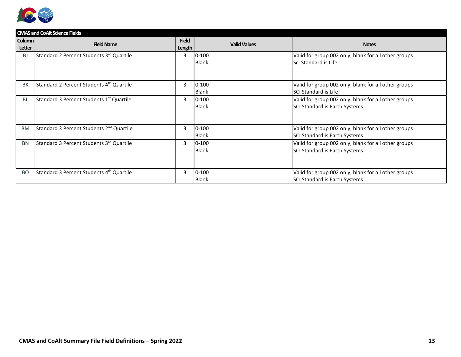

|           | <b>CMAS and CoAlt Science Fields</b>                 |              |                     |                                                      |  |  |
|-----------|------------------------------------------------------|--------------|---------------------|------------------------------------------------------|--|--|
| Column    | <b>Field Name</b>                                    | <b>Field</b> | <b>Valid Values</b> | <b>Notes</b>                                         |  |  |
| Letter    |                                                      | Length       |                     |                                                      |  |  |
| BJ        | Standard 2 Percent Students 3rd Quartile             | 3            | $ 0 - 100 $         | Valid for group 002 only, blank for all other groups |  |  |
|           |                                                      |              | <b>Blank</b>        | l Sci Standard is Life                               |  |  |
|           |                                                      |              |                     |                                                      |  |  |
|           |                                                      |              |                     |                                                      |  |  |
| <b>BK</b> | Standard 2 Percent Students 4 <sup>th</sup> Quartile | 3            | $10 - 100$          | Valid for group 002 only, blank for all other groups |  |  |
|           |                                                      |              | <b>Blank</b>        | l SCI Standard is Life                               |  |  |
| <b>BL</b> | Standard 3 Percent Students 1st Quartile             | 3            | $10-100$            | Valid for group 002 only, blank for all other groups |  |  |
|           |                                                      |              | <b>Blank</b>        | SCI Standard is Earth Systems                        |  |  |
|           |                                                      |              |                     |                                                      |  |  |
|           |                                                      |              |                     |                                                      |  |  |
| <b>BM</b> | Standard 3 Percent Students 2 <sup>nd</sup> Quartile | 3            | $ 0-100$            | Valid for group 002 only, blank for all other groups |  |  |
|           |                                                      |              | <b>Blank</b>        | SCI Standard is Earth Systems                        |  |  |
| <b>BN</b> | Standard 3 Percent Students 3rd Quartile             | 3            | $10-100$            | Valid for group 002 only, blank for all other groups |  |  |
|           |                                                      |              | <b>Blank</b>        | SCI Standard is Earth Systems                        |  |  |
|           |                                                      |              |                     |                                                      |  |  |
|           |                                                      |              |                     |                                                      |  |  |
| <b>BO</b> | Standard 3 Percent Students 4th Quartile             | 3            | $0 - 100$           | Valid for group 002 only, blank for all other groups |  |  |
|           |                                                      |              | <b>Blank</b>        | SCI Standard is Earth Systems                        |  |  |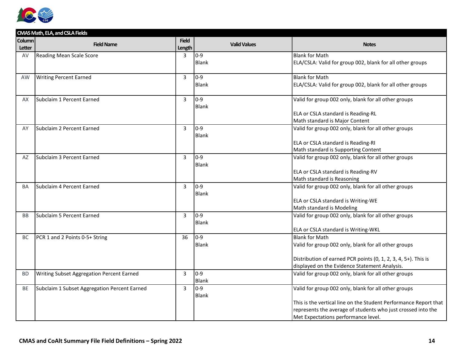

|                                | CMAS Math, ELA, and CSLA Fields              |                        |                     |                                                                  |
|--------------------------------|----------------------------------------------|------------------------|---------------------|------------------------------------------------------------------|
| <b>Column</b><br><b>Letter</b> | <b>Field Name</b>                            | <b>Field</b><br>Length | <b>Valid Values</b> | <b>Notes</b>                                                     |
| AV                             | Reading Mean Scale Score                     | 3                      | $ 0-9 $             | <b>Blank for Math</b>                                            |
|                                |                                              |                        | Blank               | ELA/CSLA: Valid for group 002, blank for all other groups        |
| AW                             | <b>Writing Percent Earned</b>                | 3                      | $0-9$               | <b>Blank for Math</b>                                            |
|                                |                                              |                        | <b>Blank</b>        | ELA/CSLA: Valid for group 002, blank for all other groups        |
|                                |                                              |                        |                     |                                                                  |
| AX                             | Subclaim 1 Percent Earned                    | $\overline{3}$         | $ 0-9 $             | Valid for group 002 only, blank for all other groups             |
|                                |                                              |                        | Blank               |                                                                  |
|                                |                                              |                        |                     | ELA or CSLA standard is Reading-RL                               |
|                                |                                              |                        |                     | Math standard is Major Content                                   |
| AY                             | Subclaim 2 Percent Earned                    | 3                      | 0-9<br><b>Blank</b> | Valid for group 002 only, blank for all other groups             |
|                                |                                              |                        |                     | ELA or CSLA standard is Reading-RI                               |
|                                |                                              |                        |                     | Math standard is Supporting Content                              |
| AZ                             | Subclaim 3 Percent Earned                    | 3                      | $ 0-9 $             | Valid for group 002 only, blank for all other groups             |
|                                |                                              |                        | <b>Blank</b>        |                                                                  |
|                                |                                              |                        |                     | ELA or CSLA standard is Reading-RV                               |
|                                |                                              |                        |                     | Math standard is Reasoning                                       |
| <b>BA</b>                      | Subclaim 4 Percent Earned                    | 3                      | $ 0-9 $             | Valid for group 002 only, blank for all other groups             |
|                                |                                              |                        | <b>Blank</b>        |                                                                  |
|                                |                                              |                        |                     | ELA or CSLA standard is Writing-WE                               |
|                                |                                              |                        |                     | Math standard is Modeling                                        |
| <b>BB</b>                      | Subclaim 5 Percent Earned                    | 3                      | $ 0-9 $             | Valid for group 002 only, blank for all other groups             |
|                                |                                              |                        | <b>Blank</b>        | ELA or CSLA standard is Writing-WKL                              |
| <b>BC</b>                      | PCR 1 and 2 Points 0-5+ String               | 36                     | 0-9                 | <b>Blank for Math</b>                                            |
|                                |                                              |                        | <b>Blank</b>        | Valid for group 002 only, blank for all other groups             |
|                                |                                              |                        |                     |                                                                  |
|                                |                                              |                        |                     | Distribution of earned PCR points (0, 1, 2, 3, 4, 5+). This is   |
|                                |                                              |                        |                     | displayed on the Evidence Statement Analysis.                    |
| <b>BD</b>                      | Writing Subset Aggregation Percent Earned    | 3                      | 0-9                 | Valid for group 002 only, blank for all other groups             |
|                                |                                              |                        | <b>Blank</b>        |                                                                  |
| BE                             | Subclaim 1 Subset Aggregation Percent Earned | 3                      | $0 - 9$             | Valid for group 002 only, blank for all other groups             |
|                                |                                              |                        | <b>Blank</b>        |                                                                  |
|                                |                                              |                        |                     | This is the vertical line on the Student Performance Report that |
|                                |                                              |                        |                     | represents the average of students who just crossed into the     |
|                                |                                              |                        |                     | Met Expectations performance level.                              |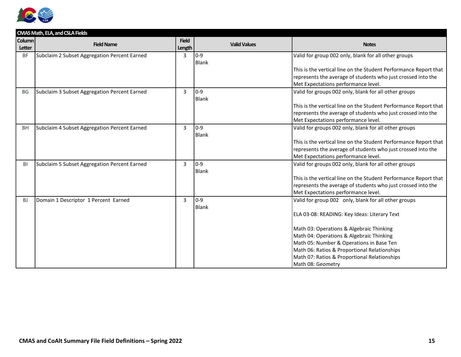

|               | <b>CMAS Math, ELA, and CSLA Fields</b>       |                |                     |                                                                  |  |  |
|---------------|----------------------------------------------|----------------|---------------------|------------------------------------------------------------------|--|--|
| <b>Column</b> | <b>Field Name</b>                            | <b>Field</b>   | <b>Valid Values</b> | <b>Notes</b>                                                     |  |  |
| <b>Letter</b> |                                              | Length         |                     |                                                                  |  |  |
| <b>BF</b>     | Subclaim 2 Subset Aggregation Percent Earned | 3              | 0-9                 | Valid for group 002 only, blank for all other groups             |  |  |
|               |                                              |                | <b>Blank</b>        |                                                                  |  |  |
|               |                                              |                |                     | This is the vertical line on the Student Performance Report that |  |  |
|               |                                              |                |                     | represents the average of students who just crossed into the     |  |  |
|               |                                              |                |                     | Met Expectations performance level.                              |  |  |
| BG            | Subclaim 3 Subset Aggregation Percent Earned | 3              | 0-9                 | Valid for groups 002 only, blank for all other groups            |  |  |
|               |                                              |                | <b>Blank</b>        |                                                                  |  |  |
|               |                                              |                |                     | This is the vertical line on the Student Performance Report that |  |  |
|               |                                              |                |                     | represents the average of students who just crossed into the     |  |  |
|               |                                              |                |                     | Met Expectations performance level.                              |  |  |
| <b>BH</b>     | Subclaim 4 Subset Aggregation Percent Earned | $\overline{3}$ | $ 0-9 $             | Valid for groups 002 only, blank for all other groups            |  |  |
|               |                                              |                | Blank               |                                                                  |  |  |
|               |                                              |                |                     | This is the vertical line on the Student Performance Report that |  |  |
|               |                                              |                |                     | represents the average of students who just crossed into the     |  |  |
|               |                                              |                |                     | Met Expectations performance level.                              |  |  |
| BI            | Subclaim 5 Subset Aggregation Percent Earned | 3              | 0-9                 | Valid for groups 002 only, blank for all other groups            |  |  |
|               |                                              |                | <b>Blank</b>        |                                                                  |  |  |
|               |                                              |                |                     | This is the vertical line on the Student Performance Report that |  |  |
|               |                                              |                |                     | represents the average of students who just crossed into the     |  |  |
|               |                                              |                |                     | Met Expectations performance level.                              |  |  |
| <b>BJ</b>     | Domain 1 Descriptor 1 Percent Earned         | 3              | $0 - 9$             | Valid for group 002 only, blank for all other groups             |  |  |
|               |                                              |                | <b>Blank</b>        |                                                                  |  |  |
|               |                                              |                |                     | ELA 03-08: READING: Key Ideas: Literary Text                     |  |  |
|               |                                              |                |                     |                                                                  |  |  |
|               |                                              |                |                     | Math 03: Operations & Algebraic Thinking                         |  |  |
|               |                                              |                |                     | Math 04: Operations & Algebraic Thinking                         |  |  |
|               |                                              |                |                     | Math 05: Number & Operations in Base Ten                         |  |  |
|               |                                              |                |                     | Math 06: Ratios & Proportional Relationships                     |  |  |
|               |                                              |                |                     | Math 07: Ratios & Proportional Relationships                     |  |  |
|               |                                              |                |                     | Math 08: Geometry                                                |  |  |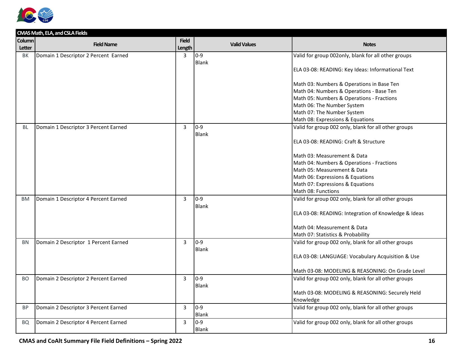

|               | CMAS Math, ELA, and CSLA Fields      |                |                     |                                                      |
|---------------|--------------------------------------|----------------|---------------------|------------------------------------------------------|
| <b>Column</b> | <b>Field Name</b>                    | <b>Field</b>   | <b>Valid Values</b> | <b>Notes</b>                                         |
| Letter        |                                      | Length         |                     |                                                      |
| <b>BK</b>     | Domain 1 Descriptor 2 Percent Earned | $\overline{3}$ | $0 - 9$             | Valid for group 002only, blank for all other groups  |
|               |                                      |                | <b>Blank</b>        |                                                      |
|               |                                      |                |                     | ELA 03-08: READING: Key Ideas: Informational Text    |
|               |                                      |                |                     |                                                      |
|               |                                      |                |                     | Math 03: Numbers & Operations in Base Ten            |
|               |                                      |                |                     | Math 04: Numbers & Operations - Base Ten             |
|               |                                      |                |                     | Math 05: Numbers & Operations - Fractions            |
|               |                                      |                |                     | Math 06: The Number System                           |
|               |                                      |                |                     | Math 07: The Number System                           |
|               |                                      |                |                     | Math 08: Expressions & Equations                     |
| <b>BL</b>     | Domain 1 Descriptor 3 Percent Earned | 3              | $0 - 9$             | Valid for group 002 only, blank for all other groups |
|               |                                      |                | Blank               |                                                      |
|               |                                      |                |                     | ELA 03-08: READING: Craft & Structure                |
|               |                                      |                |                     | Math 03: Measurement & Data                          |
|               |                                      |                |                     | Math 04: Numbers & Operations - Fractions            |
|               |                                      |                |                     | Math 05: Measurement & Data                          |
|               |                                      |                |                     | Math 06: Expressions & Equations                     |
|               |                                      |                |                     | Math 07: Expressions & Equations                     |
|               |                                      |                |                     | Math 08: Functions                                   |
| <b>BM</b>     | Domain 1 Descriptor 4 Percent Earned | $\overline{3}$ | $0-9$               | Valid for group 002 only, blank for all other groups |
|               |                                      |                | <b>Blank</b>        |                                                      |
|               |                                      |                |                     | ELA 03-08: READING: Integration of Knowledge & Ideas |
|               |                                      |                |                     |                                                      |
|               |                                      |                |                     | Math 04: Measurement & Data                          |
|               |                                      |                |                     | Math 07: Statistics & Probability                    |
| <b>BN</b>     | Domain 2 Descriptor 1 Percent Earned | 3              | $0 - 9$             | Valid for group 002 only, blank for all other groups |
|               |                                      |                | Blank               |                                                      |
|               |                                      |                |                     | ELA 03-08: LANGUAGE: Vocabulary Acquisition & Use    |
|               |                                      |                |                     |                                                      |
|               |                                      |                |                     | Math 03-08: MODELING & REASONING: On Grade Level     |
| <b>BO</b>     | Domain 2 Descriptor 2 Percent Earned | $\overline{3}$ | $0-9$               | Valid for group 002 only, blank for all other groups |
|               |                                      |                | Blank               |                                                      |
|               |                                      |                |                     | Math 03-08: MODELING & REASONING: Securely Held      |
|               |                                      |                |                     | Knowledge                                            |
| <b>BP</b>     | Domain 2 Descriptor 3 Percent Earned | 3              | $0 - 9$             | Valid for group 002 only, blank for all other groups |
|               |                                      |                | <b>Blank</b>        |                                                      |
| <b>BQ</b>     | Domain 2 Descriptor 4 Percent Earned | 3              | $0 - 9$             | Valid for group 002 only, blank for all other groups |
|               |                                      |                | <b>Blank</b>        |                                                      |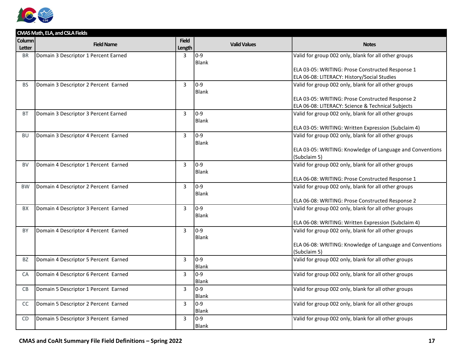

| <b>Column</b><br><b>Field</b><br><b>Field Name</b><br><b>Valid Values</b><br><b>Notes</b><br><b>Letter</b><br>Length<br>$0-9$<br>Valid for group 002 only, blank for all other groups<br>Domain 3 Descriptor 1 Percent Earned<br>3<br><b>BR</b><br><b>Blank</b><br>ELA 03-05: WRITING: Prose Constructed Response 1<br>ELA 06-08: LITERACY: History/Social Studies<br>0-9<br>Domain 3 Descriptor 2 Percent Earned<br>3<br>Valid for group 002 only, blank for all other groups<br><b>BS</b><br><b>Blank</b><br>ELA 03-05: WRITING: Prose Constructed Response 2<br>ELA 06-08: LITERACY: Science & Technical Subjects<br>$ 0-9 $<br><b>BT</b><br>Domain 3 Descriptor 3 Percent Earned<br>3<br>Valid for group 002 only, blank for all other groups<br><b>Blank</b><br>ELA 03-05: WRITING: Written Expression (Subclaim 4)<br>3<br>0-9<br>Valid for group 002 only, blank for all other groups<br><b>BU</b><br>Domain 3 Descriptor 4 Percent Earned<br><b>Blank</b><br>ELA 03-05: WRITING: Knowledge of Language and Conventions<br>(Subclaim 5)<br>$0-9$<br>Valid for group 002 only, blank for all other groups<br>Domain 4 Descriptor 1 Percent Earned<br>3<br><b>BV</b><br>Blank<br>ELA 06-08: WRITING: Prose Constructed Response 1<br>0-9<br>Valid for group 002 only, blank for all other groups<br>Domain 4 Descriptor 2 Percent Earned<br>$\overline{3}$<br><b>BW</b><br><b>Blank</b><br>ELA 06-08: WRITING: Prose Constructed Response 2<br>$0-9$<br>Valid for group 002 only, blank for all other groups<br>Domain 4 Descriptor 3 Percent Earned<br>3<br><b>BX</b> |
|-----------------------------------------------------------------------------------------------------------------------------------------------------------------------------------------------------------------------------------------------------------------------------------------------------------------------------------------------------------------------------------------------------------------------------------------------------------------------------------------------------------------------------------------------------------------------------------------------------------------------------------------------------------------------------------------------------------------------------------------------------------------------------------------------------------------------------------------------------------------------------------------------------------------------------------------------------------------------------------------------------------------------------------------------------------------------------------------------------------------------------------------------------------------------------------------------------------------------------------------------------------------------------------------------------------------------------------------------------------------------------------------------------------------------------------------------------------------------------------------------------------------------------------------------------------------------------|
|                                                                                                                                                                                                                                                                                                                                                                                                                                                                                                                                                                                                                                                                                                                                                                                                                                                                                                                                                                                                                                                                                                                                                                                                                                                                                                                                                                                                                                                                                                                                                                             |
|                                                                                                                                                                                                                                                                                                                                                                                                                                                                                                                                                                                                                                                                                                                                                                                                                                                                                                                                                                                                                                                                                                                                                                                                                                                                                                                                                                                                                                                                                                                                                                             |
|                                                                                                                                                                                                                                                                                                                                                                                                                                                                                                                                                                                                                                                                                                                                                                                                                                                                                                                                                                                                                                                                                                                                                                                                                                                                                                                                                                                                                                                                                                                                                                             |
|                                                                                                                                                                                                                                                                                                                                                                                                                                                                                                                                                                                                                                                                                                                                                                                                                                                                                                                                                                                                                                                                                                                                                                                                                                                                                                                                                                                                                                                                                                                                                                             |
|                                                                                                                                                                                                                                                                                                                                                                                                                                                                                                                                                                                                                                                                                                                                                                                                                                                                                                                                                                                                                                                                                                                                                                                                                                                                                                                                                                                                                                                                                                                                                                             |
|                                                                                                                                                                                                                                                                                                                                                                                                                                                                                                                                                                                                                                                                                                                                                                                                                                                                                                                                                                                                                                                                                                                                                                                                                                                                                                                                                                                                                                                                                                                                                                             |
|                                                                                                                                                                                                                                                                                                                                                                                                                                                                                                                                                                                                                                                                                                                                                                                                                                                                                                                                                                                                                                                                                                                                                                                                                                                                                                                                                                                                                                                                                                                                                                             |
|                                                                                                                                                                                                                                                                                                                                                                                                                                                                                                                                                                                                                                                                                                                                                                                                                                                                                                                                                                                                                                                                                                                                                                                                                                                                                                                                                                                                                                                                                                                                                                             |
|                                                                                                                                                                                                                                                                                                                                                                                                                                                                                                                                                                                                                                                                                                                                                                                                                                                                                                                                                                                                                                                                                                                                                                                                                                                                                                                                                                                                                                                                                                                                                                             |
|                                                                                                                                                                                                                                                                                                                                                                                                                                                                                                                                                                                                                                                                                                                                                                                                                                                                                                                                                                                                                                                                                                                                                                                                                                                                                                                                                                                                                                                                                                                                                                             |
|                                                                                                                                                                                                                                                                                                                                                                                                                                                                                                                                                                                                                                                                                                                                                                                                                                                                                                                                                                                                                                                                                                                                                                                                                                                                                                                                                                                                                                                                                                                                                                             |
|                                                                                                                                                                                                                                                                                                                                                                                                                                                                                                                                                                                                                                                                                                                                                                                                                                                                                                                                                                                                                                                                                                                                                                                                                                                                                                                                                                                                                                                                                                                                                                             |
|                                                                                                                                                                                                                                                                                                                                                                                                                                                                                                                                                                                                                                                                                                                                                                                                                                                                                                                                                                                                                                                                                                                                                                                                                                                                                                                                                                                                                                                                                                                                                                             |
|                                                                                                                                                                                                                                                                                                                                                                                                                                                                                                                                                                                                                                                                                                                                                                                                                                                                                                                                                                                                                                                                                                                                                                                                                                                                                                                                                                                                                                                                                                                                                                             |
|                                                                                                                                                                                                                                                                                                                                                                                                                                                                                                                                                                                                                                                                                                                                                                                                                                                                                                                                                                                                                                                                                                                                                                                                                                                                                                                                                                                                                                                                                                                                                                             |
|                                                                                                                                                                                                                                                                                                                                                                                                                                                                                                                                                                                                                                                                                                                                                                                                                                                                                                                                                                                                                                                                                                                                                                                                                                                                                                                                                                                                                                                                                                                                                                             |
|                                                                                                                                                                                                                                                                                                                                                                                                                                                                                                                                                                                                                                                                                                                                                                                                                                                                                                                                                                                                                                                                                                                                                                                                                                                                                                                                                                                                                                                                                                                                                                             |
|                                                                                                                                                                                                                                                                                                                                                                                                                                                                                                                                                                                                                                                                                                                                                                                                                                                                                                                                                                                                                                                                                                                                                                                                                                                                                                                                                                                                                                                                                                                                                                             |
|                                                                                                                                                                                                                                                                                                                                                                                                                                                                                                                                                                                                                                                                                                                                                                                                                                                                                                                                                                                                                                                                                                                                                                                                                                                                                                                                                                                                                                                                                                                                                                             |
|                                                                                                                                                                                                                                                                                                                                                                                                                                                                                                                                                                                                                                                                                                                                                                                                                                                                                                                                                                                                                                                                                                                                                                                                                                                                                                                                                                                                                                                                                                                                                                             |
|                                                                                                                                                                                                                                                                                                                                                                                                                                                                                                                                                                                                                                                                                                                                                                                                                                                                                                                                                                                                                                                                                                                                                                                                                                                                                                                                                                                                                                                                                                                                                                             |
|                                                                                                                                                                                                                                                                                                                                                                                                                                                                                                                                                                                                                                                                                                                                                                                                                                                                                                                                                                                                                                                                                                                                                                                                                                                                                                                                                                                                                                                                                                                                                                             |
|                                                                                                                                                                                                                                                                                                                                                                                                                                                                                                                                                                                                                                                                                                                                                                                                                                                                                                                                                                                                                                                                                                                                                                                                                                                                                                                                                                                                                                                                                                                                                                             |
| <b>Blank</b>                                                                                                                                                                                                                                                                                                                                                                                                                                                                                                                                                                                                                                                                                                                                                                                                                                                                                                                                                                                                                                                                                                                                                                                                                                                                                                                                                                                                                                                                                                                                                                |
| ELA 06-08: WRITING: Written Expression (Subclaim 4)                                                                                                                                                                                                                                                                                                                                                                                                                                                                                                                                                                                                                                                                                                                                                                                                                                                                                                                                                                                                                                                                                                                                                                                                                                                                                                                                                                                                                                                                                                                         |
| 0-9<br>3<br>Valid for group 002 only, blank for all other groups<br>Domain 4 Descriptor 4 Percent Earned<br>BY                                                                                                                                                                                                                                                                                                                                                                                                                                                                                                                                                                                                                                                                                                                                                                                                                                                                                                                                                                                                                                                                                                                                                                                                                                                                                                                                                                                                                                                              |
| <b>Blank</b>                                                                                                                                                                                                                                                                                                                                                                                                                                                                                                                                                                                                                                                                                                                                                                                                                                                                                                                                                                                                                                                                                                                                                                                                                                                                                                                                                                                                                                                                                                                                                                |
| ELA 06-08: WRITING: Knowledge of Language and Conventions                                                                                                                                                                                                                                                                                                                                                                                                                                                                                                                                                                                                                                                                                                                                                                                                                                                                                                                                                                                                                                                                                                                                                                                                                                                                                                                                                                                                                                                                                                                   |
| (Subclaim 5)                                                                                                                                                                                                                                                                                                                                                                                                                                                                                                                                                                                                                                                                                                                                                                                                                                                                                                                                                                                                                                                                                                                                                                                                                                                                                                                                                                                                                                                                                                                                                                |
| 0-9 ا<br>Valid for group 002 only, blank for all other groups<br>Domain 4 Descriptor 5 Percent Earned<br>$\overline{3}$<br>BZ                                                                                                                                                                                                                                                                                                                                                                                                                                                                                                                                                                                                                                                                                                                                                                                                                                                                                                                                                                                                                                                                                                                                                                                                                                                                                                                                                                                                                                               |
| <b>Blank</b>                                                                                                                                                                                                                                                                                                                                                                                                                                                                                                                                                                                                                                                                                                                                                                                                                                                                                                                                                                                                                                                                                                                                                                                                                                                                                                                                                                                                                                                                                                                                                                |
| $\overline{3}$<br>$0-9$<br>Valid for group 002 only, blank for all other groups<br>Domain 4 Descriptor 6 Percent Earned<br>CA                                                                                                                                                                                                                                                                                                                                                                                                                                                                                                                                                                                                                                                                                                                                                                                                                                                                                                                                                                                                                                                                                                                                                                                                                                                                                                                                                                                                                                               |
| <b>Blank</b>                                                                                                                                                                                                                                                                                                                                                                                                                                                                                                                                                                                                                                                                                                                                                                                                                                                                                                                                                                                                                                                                                                                                                                                                                                                                                                                                                                                                                                                                                                                                                                |
| 3<br>$0-9$<br>Valid for group 002 only, blank for all other groups<br><b>CB</b><br>Domain 5 Descriptor 1 Percent Earned                                                                                                                                                                                                                                                                                                                                                                                                                                                                                                                                                                                                                                                                                                                                                                                                                                                                                                                                                                                                                                                                                                                                                                                                                                                                                                                                                                                                                                                     |
| <b>Blank</b>                                                                                                                                                                                                                                                                                                                                                                                                                                                                                                                                                                                                                                                                                                                                                                                                                                                                                                                                                                                                                                                                                                                                                                                                                                                                                                                                                                                                                                                                                                                                                                |
| 0-9<br>Valid for group 002 only, blank for all other groups<br>Domain 5 Descriptor 2 Percent Earned<br>CC<br>3                                                                                                                                                                                                                                                                                                                                                                                                                                                                                                                                                                                                                                                                                                                                                                                                                                                                                                                                                                                                                                                                                                                                                                                                                                                                                                                                                                                                                                                              |
| <b>Blank</b>                                                                                                                                                                                                                                                                                                                                                                                                                                                                                                                                                                                                                                                                                                                                                                                                                                                                                                                                                                                                                                                                                                                                                                                                                                                                                                                                                                                                                                                                                                                                                                |
| Valid for group 002 only, blank for all other groups<br>Domain 5 Descriptor 3 Percent Earned<br>3<br>$0 - 9$<br><b>CD</b>                                                                                                                                                                                                                                                                                                                                                                                                                                                                                                                                                                                                                                                                                                                                                                                                                                                                                                                                                                                                                                                                                                                                                                                                                                                                                                                                                                                                                                                   |
|                                                                                                                                                                                                                                                                                                                                                                                                                                                                                                                                                                                                                                                                                                                                                                                                                                                                                                                                                                                                                                                                                                                                                                                                                                                                                                                                                                                                                                                                                                                                                                             |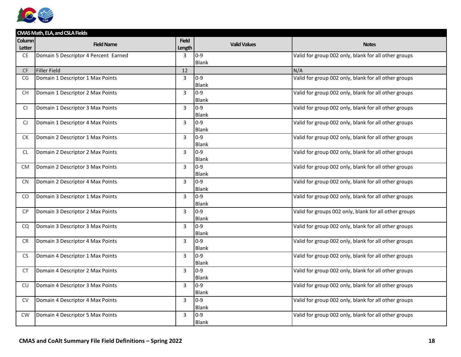

|               | CMAS Math, ELA, and CSLA Fields      |                |                     |                                                       |
|---------------|--------------------------------------|----------------|---------------------|-------------------------------------------------------|
| <b>Column</b> | <b>Field Name</b>                    | <b>Field</b>   | <b>Valid Values</b> | <b>Notes</b>                                          |
| Letter        |                                      | Length         |                     |                                                       |
| <b>CE</b>     | Domain 5 Descriptor 4 Percent Earned | 3              | 0-9                 | Valid for group 002 only, blank for all other groups  |
|               |                                      |                | Blank               |                                                       |
| <b>CF</b>     | Filler Field                         | 12             |                     | N/A                                                   |
| CG            | Domain 1 Descriptor 1 Max Points     | 3              | $0-9$               | Valid for group 002 only, blank for all other groups  |
|               |                                      |                | <b>Blank</b>        |                                                       |
| <b>CH</b>     | Domain 1 Descriptor 2 Max Points     | 3              | $0-9$               | Valid for group 002 only, blank for all other groups  |
|               |                                      |                | <b>Blank</b>        |                                                       |
| CI.           | Domain 1 Descriptor 3 Max Points     | 3              | 0-9                 | Valid for group 002 only, blank for all other groups  |
|               |                                      |                | Blank               |                                                       |
| CJ.           | Domain 1 Descriptor 4 Max Points     | 3              | $0-9$               | Valid for group 002 only, blank for all other groups  |
|               |                                      |                | <b>Blank</b>        |                                                       |
| <b>CK</b>     | Domain 2 Descriptor 1 Max Points     | $\overline{3}$ | $0-9$               | Valid for group 002 only, blank for all other groups  |
|               |                                      |                | Blank               |                                                       |
| CL.           | Domain 2 Descriptor 2 Max Points     | 3              | $0-9$               | Valid for group 002 only, blank for all other groups  |
|               |                                      |                | Blank               |                                                       |
| CM            | Domain 2 Descriptor 3 Max Points     | 3              | $0-9$               | Valid for group 002 only, blank for all other groups  |
|               |                                      |                | Blank               |                                                       |
| <b>CN</b>     | Domain 2 Descriptor 4 Max Points     | 3              | $0-9$               | Valid for group 002 only, blank for all other groups  |
|               |                                      |                | Blank               |                                                       |
| CO.           | Domain 3 Descriptor 1 Max Points     | $\overline{3}$ | $0-9$               | Valid for group 002 only, blank for all other groups  |
|               |                                      |                | <b>Blank</b>        |                                                       |
| <b>CP</b>     | Domain 3 Descriptor 2 Max Points     | 3              | 0-9                 | Valid for groups 002 only, blank for all other groups |
|               |                                      |                | <b>Blank</b>        |                                                       |
| CQ            | Domain 3 Descriptor 3 Max Points     | 3              | $0-9$               | Valid for group 002 only, blank for all other groups  |
|               |                                      |                | Blank               |                                                       |
| <b>CR</b>     | Domain 3 Descriptor 4 Max Points     | $\overline{3}$ | $0-9$               | Valid for group 002 only, blank for all other groups  |
|               |                                      |                | Blank               |                                                       |
| <b>CS</b>     | Domain 4 Descriptor 1 Max Points     | 3              | $0-9$               | Valid for group 002 only, blank for all other groups  |
|               |                                      |                | <b>Blank</b>        |                                                       |
| <b>CT</b>     | Domain 4 Descriptor 2 Max Points     | 3              | $0-9$               | Valid for group 002 only, blank for all other groups  |
|               |                                      |                | Blank               |                                                       |
| <b>CU</b>     | Domain 4 Descriptor 3 Max Points     | 3              | $0-9$               | Valid for group 002 only, blank for all other groups  |
|               |                                      |                | Blank               |                                                       |
| <b>CV</b>     | Domain 4 Descriptor 4 Max Points     | $\overline{3}$ | 0-9                 | Valid for group 002 only, blank for all other groups  |
|               |                                      |                | <b>Blank</b>        |                                                       |
| <b>CW</b>     | Domain 4 Descriptor 5 Max Points     | 3              | $0 - 9$             | Valid for group 002 only, blank for all other groups  |
|               |                                      |                | <b>Blank</b>        |                                                       |